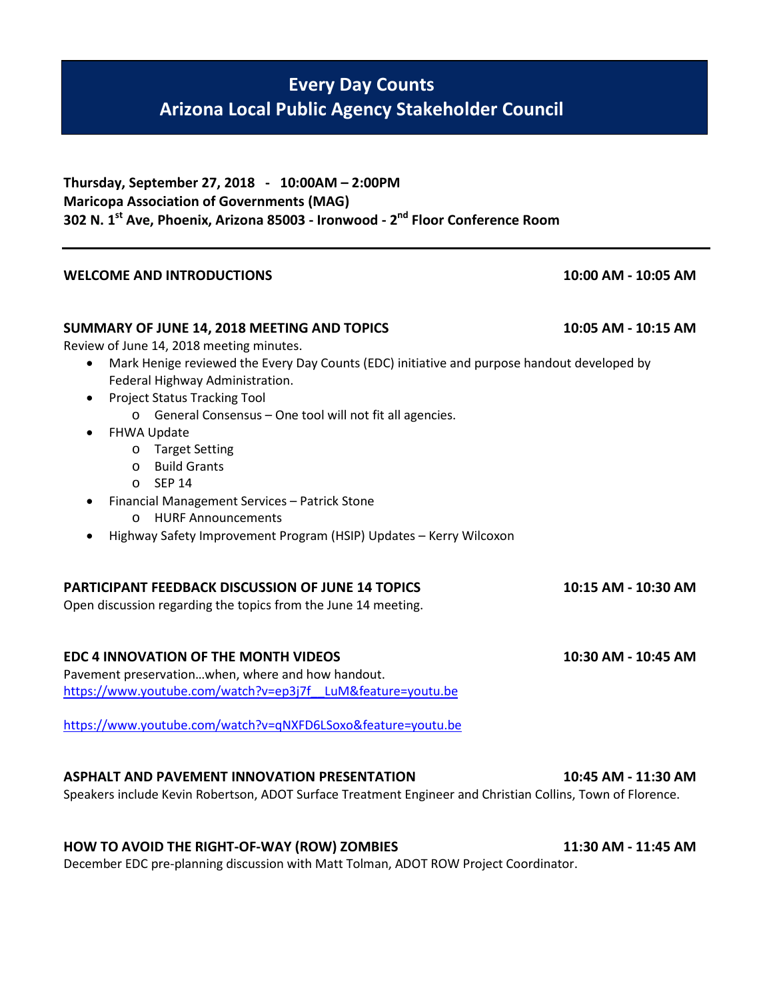## **Every Day Counts Arizona Local Public Agency Stakeholder Council**

| Thursday, September 27, 2018 - 10:00AM - 2:00PM                                                       |
|-------------------------------------------------------------------------------------------------------|
| <b>Maricopa Association of Governments (MAG)</b>                                                      |
| 302 N. 1 <sup>st</sup> Ave, Phoenix, Arizona 85003 - Ironwood - 2 <sup>nd</sup> Floor Conference Room |

## **WELCOME AND INTRODUCTIONS 10:00 AM - 10:05 AM**

## **SUMMARY OF JUNE 14, 2018 MEETING AND TOPICS 10:05 AM - 10:15 AM**

Review of June 14, 2018 meeting minutes.

- Mark Henige reviewed the Every Day Counts (EDC) initiative and purpose handout developed by Federal Highway Administration.
- Project Status Tracking Tool
	- o General Consensus One tool will not fit all agencies.
- FHWA Update
	- o Target Setting
	- o Build Grants
	- o SEP 14
- Financial Management Services Patrick Stone
	- o HURF Announcements
- Highway Safety Improvement Program (HSIP) Updates Kerry Wilcoxon

## **PARTICIPANT FEEDBACK DISCUSSION OF JUNE 14 TOPICS 10:15 AM - 10:30 AM**

Open discussion regarding the topics from the June 14 meeting.

## **EDC 4 INNOVATION OF THE MONTH VIDEOS 10:30 AM - 10:45 AM**

Pavement preservation…when, where and how handout. [https://www.youtube.com/watch?v=ep3j7f\\_\\_LuM&feature=youtu.be](https://www.youtube.com/watch?v=ep3j7f__LuM&feature=youtu.be)

<https://www.youtube.com/watch?v=qNXFD6LSoxo&feature=youtu.be>

## **ASPHALT AND PAVEMENT INNOVATION PRESENTATION 10:45 AM - 11:30 AM**

Speakers include Kevin Robertson, ADOT Surface Treatment Engineer and Christian Collins, Town of Florence.

## **HOW TO AVOID THE RIGHT-OF-WAY (ROW) ZOMBIES 11:30 AM - 11:45 AM**

December EDC pre-planning discussion with Matt Tolman, ADOT ROW Project Coordinator.